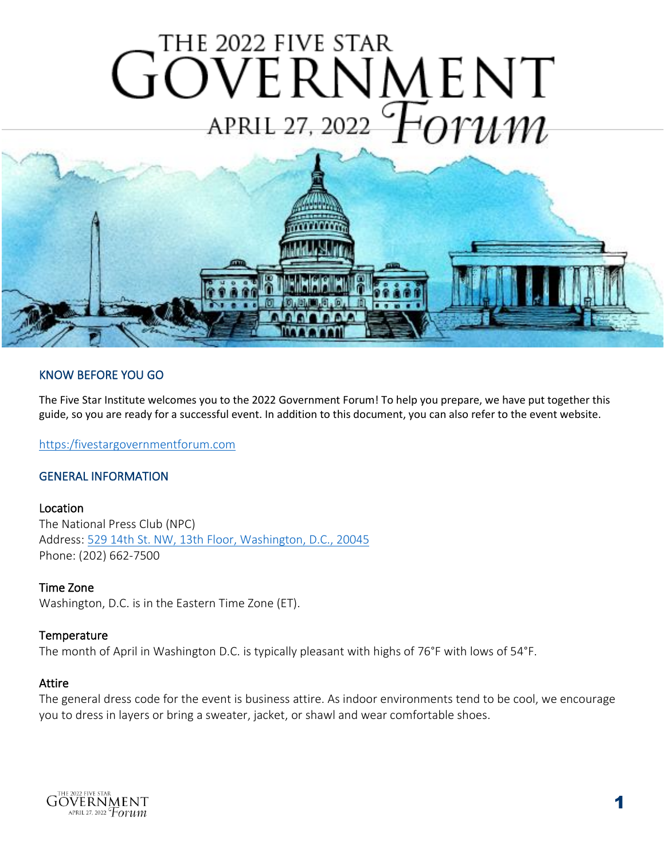# THE 2022 FIVE STAR  $\overline{\phantom{a}}$ í l



# KNOW BEFORE YOU GO

The Five Star Institute welcomes you to the 2022 Government Forum! To help you prepare, we have put together this guide, so you are ready for a successful event. In addition to this document, you can also refer to the event website.

[https:/fivestargovernmentforum.com](https://www.fivestargovernmentforum.com/GF2022)

#### GENERAL INFORMATION

#### Location

The National Press Club (NPC) Address: [529 14th St. NW, 13th Floor, Washington, D.C., 20045](https://www.google.com/maps/place/National+Press+Club/@38.8969531,-77.0316928,15z/data=!4m5!3m4!1s0x0:0x7114f4d287f8aeed!8m2!3d38.8969531!4d-77.0316928) Phone: (202) 662-7500

#### Time Zone

Washington, D.C. is in the Eastern Time Zone (ET).

#### **Temperature**

The month of April in Washington D.C. is typically pleasant with highs of 76°F with lows of 54°F.

#### Attire

The general dress code for the event is business attire. As indoor environments tend to be cool, we encourage you to dress in layers or bring a sweater, jacket, or shawl and wear comfortable shoes.

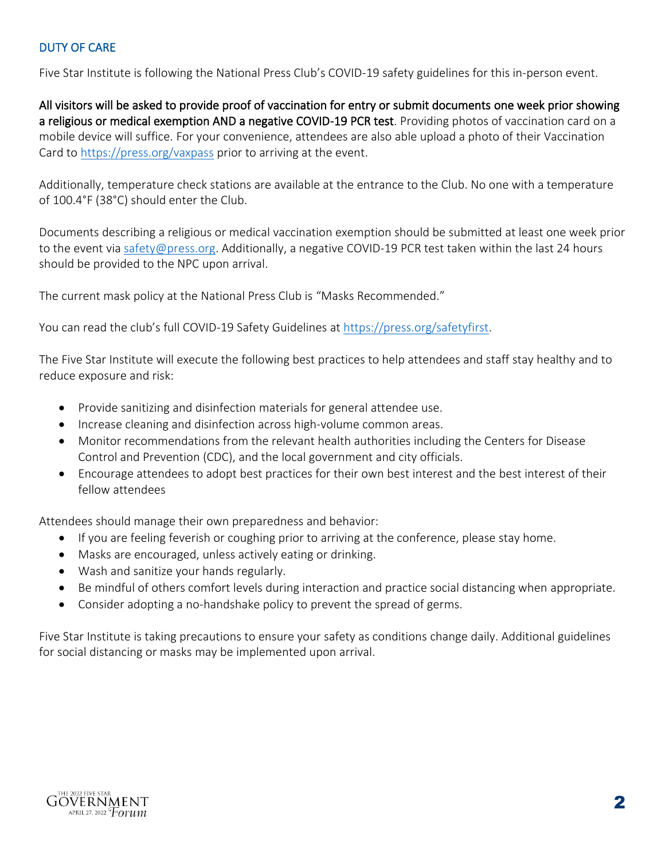## DUTY OF CARE

Five Star Institute is following the National Press Club's COVID-19 safety guidelines for this in-person event.

All visitors will be asked to provide proof of vaccination for entry or submit documents one week prior showing a religious or medical exemption AND a negative COVID-19 PCR test. Providing photos of vaccination card on a mobile device will suffice. For your convenience, attendees are also able upload a photo of their Vaccination Card to<https://press.org/vaxpass> prior to arriving at the event.

Additionally, temperature check stations are available at the entrance to the Club. No one with a temperature of 100.4°F (38°C) should enter the Club.

Documents describing a religious or medical vaccination exemption should be submitted at least one week prior to the event via [safety@press.org.](mailto:safety@press.org) Additionally, a negative COVID-19 PCR test taken within the last 24 hours should be provided to the NPC upon arrival.

The current mask policy at the National Press Club is "Masks Recommended."

You can read the club's full COVID-19 Safety Guidelines at [https://press.org/safetyfirst.](https://www.press.org/safetyfirst)

The Five Star Institute will execute the following best practices to help attendees and staff stay healthy and to reduce exposure and risk:

- Provide sanitizing and disinfection materials for general attendee use.
- Increase cleaning and disinfection across high-volume common areas.
- Monitor recommendations from the relevant health authorities including the Centers for Disease Control and Prevention (CDC), and the local government and city officials.
- Encourage attendees to adopt best practices for their own best interest and the best interest of their fellow attendees

Attendees should manage their own preparedness and behavior:

- If you are feeling feverish or coughing prior to arriving at the conference, please stay home.
- Masks are encouraged, unless actively eating or drinking.
- Wash and sanitize your hands regularly.
- Be mindful of others comfort levels during interaction and practice social distancing when appropriate.
- Consider adopting a no-handshake policy to prevent the spread of germs.

Five Star Institute is taking precautions to ensure your safety as conditions change daily. Additional guidelines for social distancing or masks may be implemented upon arrival.

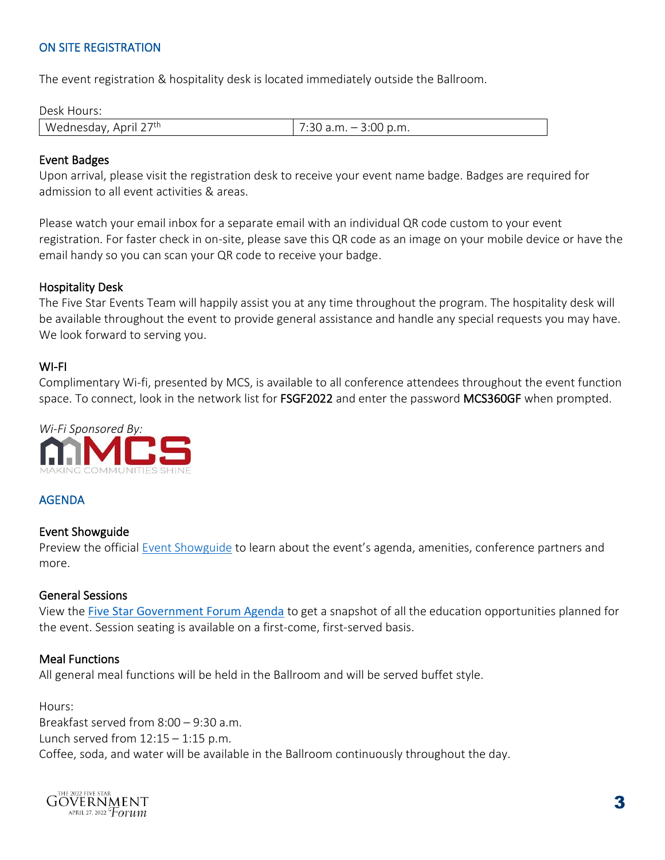# ON SITE REGISTRATION

The event registration & hospitality desk is located immediately outside the Ballroom.

#### Desk Hours:

| Wednesday, April 27 <sup>th</sup> | $\cdot$ 30 a.m. $-$ 3:00 p.m. |
|-----------------------------------|-------------------------------|

#### Event Badges

Upon arrival, please visit the registration desk to receive your event name badge. Badges are required for admission to all event activities & areas.

Please watch your email inbox for a separate email with an individual QR code custom to your event registration. For faster check in on-site, please save this QR code as an image on your mobile device or have the email handy so you can scan your QR code to receive your badge.

#### Hospitality Desk

The Five Star Events Team will happily assist you at any time throughout the program. The hospitality desk will be available throughout the event to provide general assistance and handle any special requests you may have. We look forward to serving you.

#### WI-FI

Complimentary Wi-fi, presented by MCS, is available to all conference attendees throughout the event function space. To connect, look in the network list for FSGF2022 and enter the password MCS360GF when prompted.



## AGENDA

#### Event Showguide

Preview the official [Event Showguide](https://thefivestar.com/wp-content/uploads/2022/04/FSGF_2022_Showguide.pdf?__hstc=186818743.0c22b8d9b47411d9f93634551e19014d.1649753584609.1649943949705.1650402743510.4&__hssc=186818743.1.1650402743510&__hsfp=2908152596) to learn about the event's agenda, amenities, conference partners and more.

#### General Sessions

View the [Five Star Government Forum Agenda](https://www.fivestargovernmentforum.com/gf2022/agenda) to get a snapshot of all the education opportunities planned for the event. Session seating is available on a first-come, first-served basis.

#### Meal Functions

All general meal functions will be held in the Ballroom and will be served buffet style.

Hours: Breakfast served from 8:00 – 9:30 a.m. Lunch served from  $12:15 - 1:15$  p.m. Coffee, soda, and water will be available in the Ballroom continuously throughout the day.

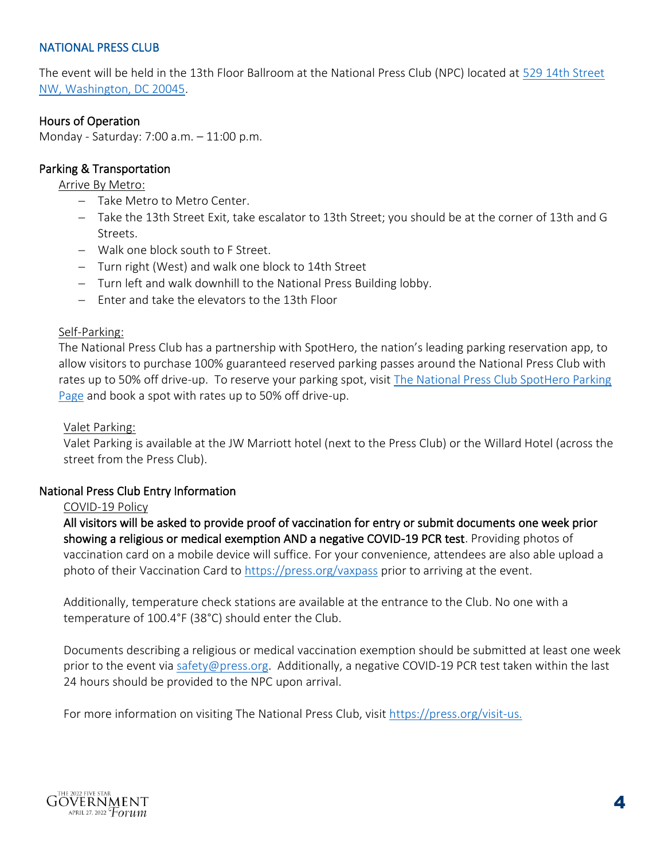#### NATIONAL PRESS CLUB

The event will be held in the 13th Floor Ballroom at the National Press Club (NPC) located at [529 14th Street](https://www.google.com/maps/place/National+Press+Club/@38.8969531,-77.0316928,15z/data=!4m5!3m4!1s0x0:0x7114f4d287f8aeed!8m2!3d38.8969531!4d-77.0316928)  [NW, Washington, DC 20045.](https://www.google.com/maps/place/National+Press+Club/@38.8969531,-77.0316928,15z/data=!4m5!3m4!1s0x0:0x7114f4d287f8aeed!8m2!3d38.8969531!4d-77.0316928)

#### Hours of Operation

Monday - Saturday: 7:00 a.m. – 11:00 p.m.

#### Parking & Transportation

#### Arrive By Metro:

- − Take Metro to Metro Center.
- − Take the 13th Street Exit, take escalator to 13th Street; you should be at the corner of 13th and G Streets.
- − Walk one block south to F Street.
- − Turn right (West) and walk one block to 14th Street
- − Turn left and walk downhill to the National Press Building lobby.
- − Enter and take the elevators to the 13th Floor

#### Self-Parking:

The National Press Club has a partnership with SpotHero, the nation's leading parking reservation app, to allow visitors to purchase 100% guaranteed reserved parking passes around the National Press Club with rates up to 50% off drive-up. To reserve your parking spot, visit [The National Press Club SpotHero Parking](https://spothero.app.link/ts1p2NqSe1?kind=destination&id=45809&$3p=a_hasoffers&$affiliate_json=http%3A%2F%2Ftracking.spothero.com%2Faff_c%3Foffer_id%3D1%26aff_id%3D1065%26format%3Djson)  [Page](https://spothero.app.link/ts1p2NqSe1?kind=destination&id=45809&$3p=a_hasoffers&$affiliate_json=http%3A%2F%2Ftracking.spothero.com%2Faff_c%3Foffer_id%3D1%26aff_id%3D1065%26format%3Djson) and book a spot with rates up to 50% off drive-up.

#### Valet Parking:

Valet Parking is available at the JW Marriott hotel (next to the Press Club) or the Willard Hotel (across the street from the Press Club).

#### National Press Club Entry Information

#### COVID-19 Policy

All visitors will be asked to provide proof of vaccination for entry or submit documents one week prior showing a religious or medical exemption AND a negative COVID-19 PCR test. Providing photos of vaccination card on a mobile device will suffice. For your convenience, attendees are also able upload a photo of their Vaccination Card to<https://press.org/vaxpass> prior to arriving at the event.

Additionally, temperature check stations are available at the entrance to the Club. No one with a temperature of 100.4°F (38°C) should enter the Club.

Documents describing a religious or medical vaccination exemption should be submitted at least one week prior to the event vi[a safety@press.org.](mailto:safety@press.org) Additionally, a negative COVID-19 PCR test taken within the last 24 hours should be provided to the NPC upon arrival.

For more information on visiting The National Press Club, visit [https://press.org/visit-us.](https://www.press.org/visit-us)

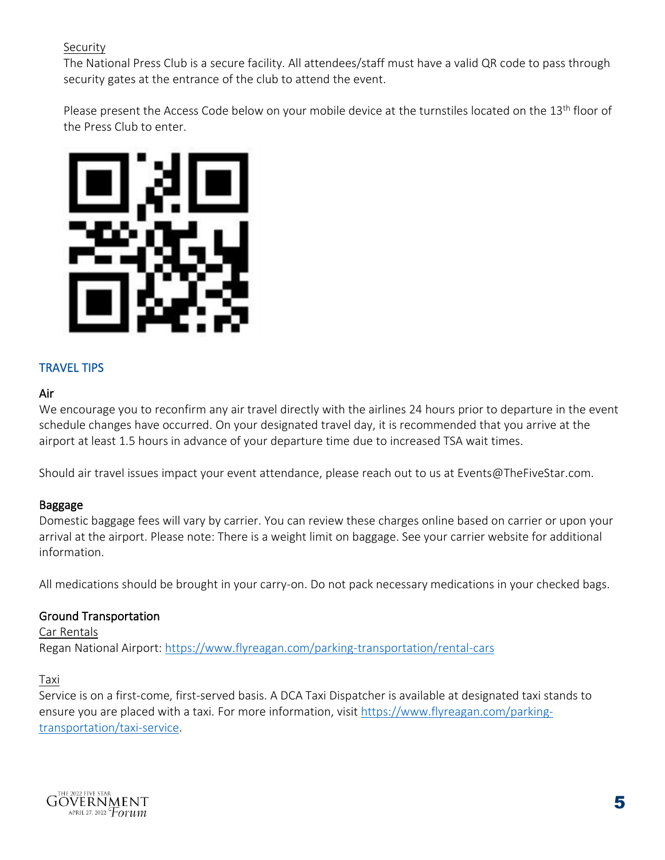#### **Security**

The National Press Club is a secure facility. All attendees/staff must have a valid QR code to pass through security gates at the entrance of the club to attend the event.

Please present the Access Code below on your mobile device at the turnstiles located on the 13<sup>th</sup> floor of the Press Club to enter.



# TRAVEL TIPS

#### Air

We encourage you to reconfirm any air travel directly with the airlines 24 hours prior to departure in the event schedule changes have occurred. On your designated travel day, it is recommended that you arrive at the airport at least 1.5 hours in advance of your departure time due to increased TSA wait times.

Should air travel issues impact your event attendance, please reach out to us at Events@TheFiveStar.com.

## Baggage

Domestic baggage fees will vary by carrier. You can review these charges online based on carrier or upon your arrival at the airport. Please note: There is a weight limit on baggage. See your carrier website for additional information.

All medications should be brought in your carry-on. Do not pack necessary medications in your checked bags.

## Ground Transportation

Car Rentals Regan National Airport:<https://www.flyreagan.com/parking-transportation/rental-cars>

#### Taxi

Service is on a first-come, first-served basis. A DCA Taxi Dispatcher is available at designated taxi stands to ensure you are placed with a taxi. For more information, visit [https://www.flyreagan.com/parking](https://www.flyreagan.com/parking-transportation/taxi-service)[transportation/taxi-service.](https://www.flyreagan.com/parking-transportation/taxi-service)